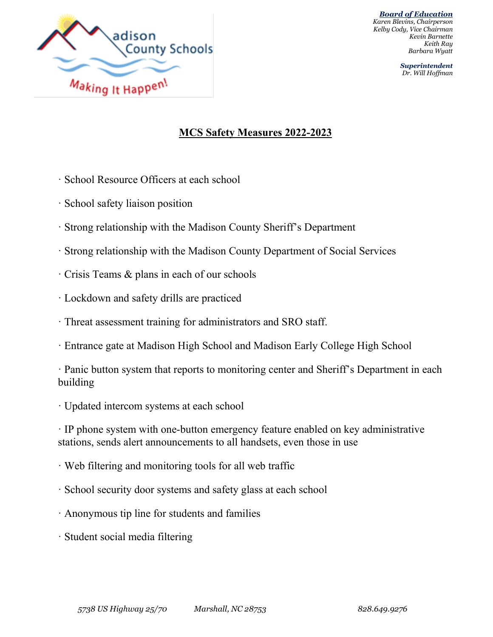

*Superintendent Dr. Will Hoffman*

## **MCS Safety Measures 2022-2023**

- · School Resource Officers at each school
- · School safety liaison position
- · Strong relationship with the Madison County Sheriff's Department
- · Strong relationship with the Madison County Department of Social Services
- · Crisis Teams & plans in each of our schools
- · Lockdown and safety drills are practiced
- · Threat assessment training for administrators and SRO staff.
- · Entrance gate at Madison High School and Madison Early College High School

· Panic button system that reports to monitoring center and Sheriff's Department in each building

· Updated intercom systems at each school

· IP phone system with one-button emergency feature enabled on key administrative stations, sends alert announcements to all handsets, even those in use

- · Web filtering and monitoring tools for all web traffic
- · School security door systems and safety glass at each school
- · Anonymous tip line for students and families
- · Student social media filtering